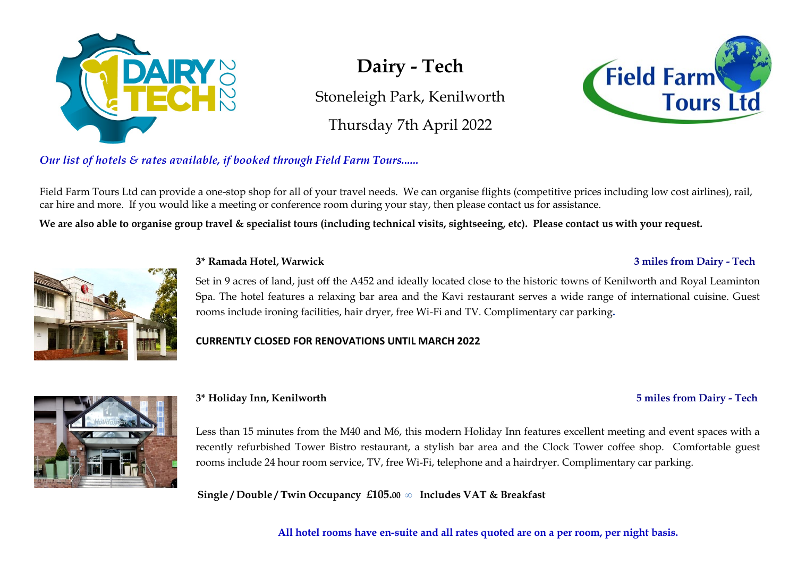

# **Dairy - Tech**

Stoneleigh Park, Kenilworth

Thursday 7th April 2022



*Our list of hotels & rates available, if booked through Field Farm Tours......* 

Field Farm Tours Ltd can provide a one-stop shop for all of your travel needs. We can organise flights (competitive prices including low cost airlines), rail, car hire and more. If you would like a meeting or conference room during your stay, then please contact us for assistance.

**We are also able to organise group travel & specialist tours (including technical visits, sightseeing, etc). Please contact us with your request.**



#### **3\* Ramada Hotel, Warwick 3 miles from Dairy - Tech**

## Set in 9 acres of land, just off the A452 and ideally located close to the historic towns of Kenilworth and Royal Leaminton Spa. The hotel features a relaxing bar area and the Kavi restaurant serves a wide range of international cuisine. Guest rooms include ironing facilities, hair dryer, free Wi-Fi and TV. Complimentary car parking**.**

### **CURRENTLY CLOSED FOR RENOVATIONS UNTIL MARCH 2022**

**3\* Holiday Inn, Kenilworth 5 miles from Dairy - Tech**

Less than 15 minutes from the M40 and M6, this modern Holiday Inn features excellent meeting and event spaces with a recently refurbished Tower Bistro restaurant, a stylish bar area and the Clock Tower coffee shop. Comfortable guest rooms include 24 hour room service, TV, free Wi-Fi, telephone and a hairdryer. Complimentary car parking.

**Single / Double / Twin Occupancy £105.00 ∞ Includes VAT & Breakfast**